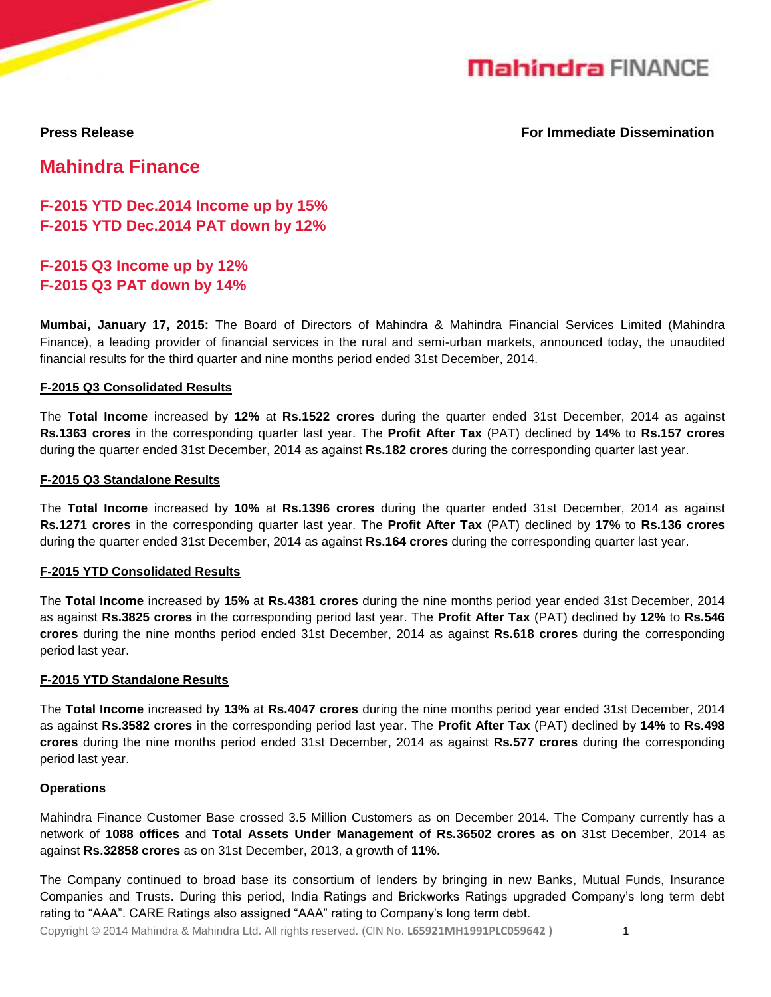

**Press Release For Immediate Dissemination**

**Mahindra Finance**

**F-2015 YTD Dec.2014 Income up by 15% F-2015 YTD Dec.2014 PAT down by 12%**

**F-2015 Q3 Income up by 12% F-2015 Q3 PAT down by 14%**

**Mumbai, January 17, 2015:** The Board of Directors of Mahindra & Mahindra Financial Services Limited (Mahindra Finance), a leading provider of financial services in the rural and semi-urban markets, announced today, the unaudited financial results for the third quarter and nine months period ended 31st December, 2014.

### **F-2015 Q3 Consolidated Results**

The **Total Income** increased by **12%** at **Rs.1522 crores** during the quarter ended 31st December, 2014 as against **Rs.1363 crores** in the corresponding quarter last year. The **Profit After Tax** (PAT) declined by **14%** to **Rs.157 crores** during the quarter ended 31st December, 2014 as against **Rs.182 crores** during the corresponding quarter last year.

#### **F-2015 Q3 Standalone Results**

The **Total Income** increased by **10%** at **Rs.1396 crores** during the quarter ended 31st December, 2014 as against **Rs.1271 crores** in the corresponding quarter last year. The **Profit After Tax** (PAT) declined by **17%** to **Rs.136 crores** during the quarter ended 31st December, 2014 as against **Rs.164 crores** during the corresponding quarter last year.

#### **F-2015 YTD Consolidated Results**

The **Total Income** increased by **15%** at **Rs.4381 crores** during the nine months period year ended 31st December, 2014 as against **Rs.3825 crores** in the corresponding period last year. The **Profit After Tax** (PAT) declined by **12%** to **Rs.546 crores** during the nine months period ended 31st December, 2014 as against **Rs.618 crores** during the corresponding period last year.

#### **F-2015 YTD Standalone Results**

The **Total Income** increased by **13%** at **Rs.4047 crores** during the nine months period year ended 31st December, 2014 as against **Rs.3582 crores** in the corresponding period last year. The **Profit After Tax** (PAT) declined by **14%** to **Rs.498 crores** during the nine months period ended 31st December, 2014 as against **Rs.577 crores** during the corresponding period last year.

#### **Operations**

Mahindra Finance Customer Base crossed 3.5 Million Customers as on December 2014. The Company currently has a network of **1088 offices** and **Total Assets Under Management of Rs.36502 crores as on** 31st December, 2014 as against **Rs.32858 crores** as on 31st December, 2013, a growth of **11%**.

The Company continued to broad base its consortium of lenders by bringing in new Banks, Mutual Funds, Insurance Companies and Trusts. During this period, India Ratings and Brickworks Ratings upgraded Company's long term debt rating to "AAA". CARE Ratings also assigned "AAA" rating to Company's long term debt.

Copyright © 2014 Mahindra & Mahindra Ltd. All rights reserved. (CIN No. **L65921MH1991PLC059642 )** 1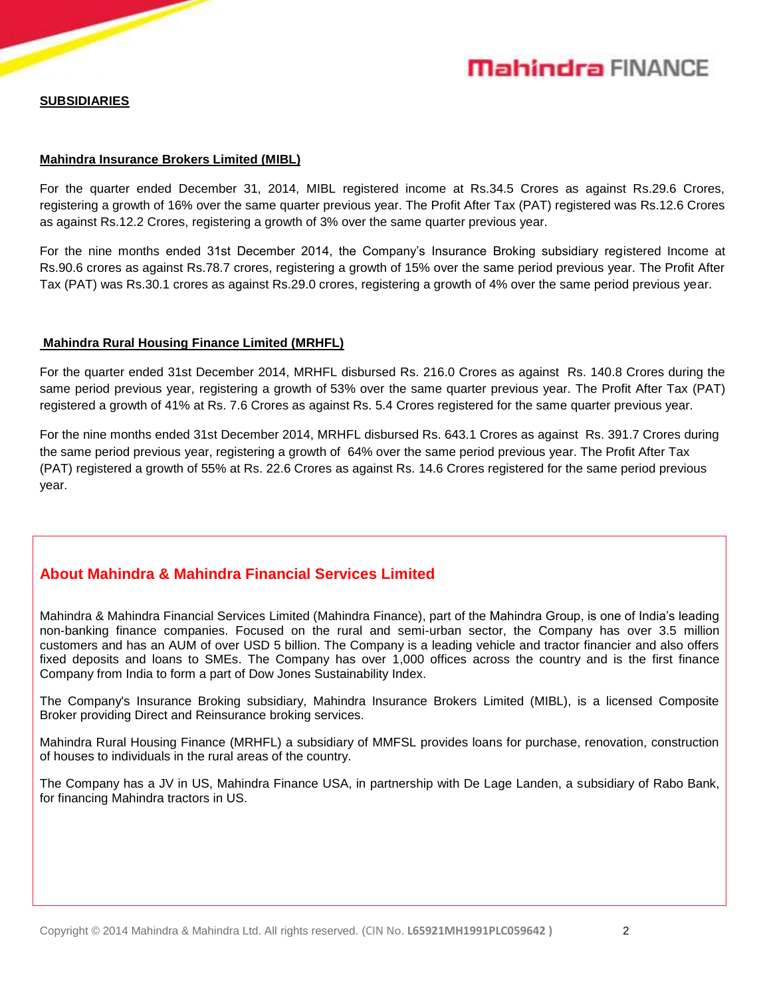# **Mahindra FINANCE**

#### **SUBSIDIARIES**

#### **Mahindra Insurance Brokers Limited (MIBL)**

For the quarter ended December 31, 2014, MIBL registered income at Rs.34.5 Crores as against Rs.29.6 Crores, registering a growth of 16% over the same quarter previous year. The Profit After Tax (PAT) registered was Rs.12.6 Crores as against Rs.12.2 Crores, registering a growth of 3% over the same quarter previous year.

For the nine months ended 31st December 2014, the Company's Insurance Broking subsidiary registered Income at Rs.90.6 crores as against Rs.78.7 crores, registering a growth of 15% over the same period previous year. The Profit After Tax (PAT) was Rs.30.1 crores as against Rs.29.0 crores, registering a growth of 4% over the same period previous year.

#### **Mahindra Rural Housing Finance Limited (MRHFL)**

For the quarter ended 31st December 2014, MRHFL disbursed Rs. 216.0 Crores as against Rs. 140.8 Crores during the same period previous year, registering a growth of 53% over the same quarter previous year. The Profit After Tax (PAT) registered a growth of 41% at Rs. 7.6 Crores as against Rs. 5.4 Crores registered for the same quarter previous year.

For the nine months ended 31st December 2014, MRHFL disbursed Rs. 643.1 Crores as against Rs. 391.7 Crores during the same period previous year, registering a growth of 64% over the same period previous year. The Profit After Tax (PAT) registered a growth of 55% at Rs. 22.6 Crores as against Rs. 14.6 Crores registered for the same period previous year.

# **About Mahindra & Mahindra Financial Services Limited**

Mahindra & Mahindra Financial Services Limited (Mahindra Finance), part of the Mahindra Group, is one of India's leading non-banking finance companies. Focused on the rural and semi-urban sector, the Company has over 3.5 million customers and has an AUM of over USD 5 billion. The Company is a leading vehicle and tractor financier and also offers fixed deposits and loans to SMEs. The Company has over 1,000 offices across the country and is the first finance Company from India to form a part of Dow Jones Sustainability Index.

The Company's Insurance Broking subsidiary, Mahindra Insurance Brokers Limited (MIBL), is a licensed Composite Broker providing Direct and Reinsurance broking services.

Mahindra Rural Housing Finance (MRHFL) a subsidiary of MMFSL provides loans for purchase, renovation, construction of houses to individuals in the rural areas of the country.

The Company has a JV in US, Mahindra Finance USA, in partnership with De Lage Landen, a subsidiary of Rabo Bank, for financing Mahindra tractors in US.